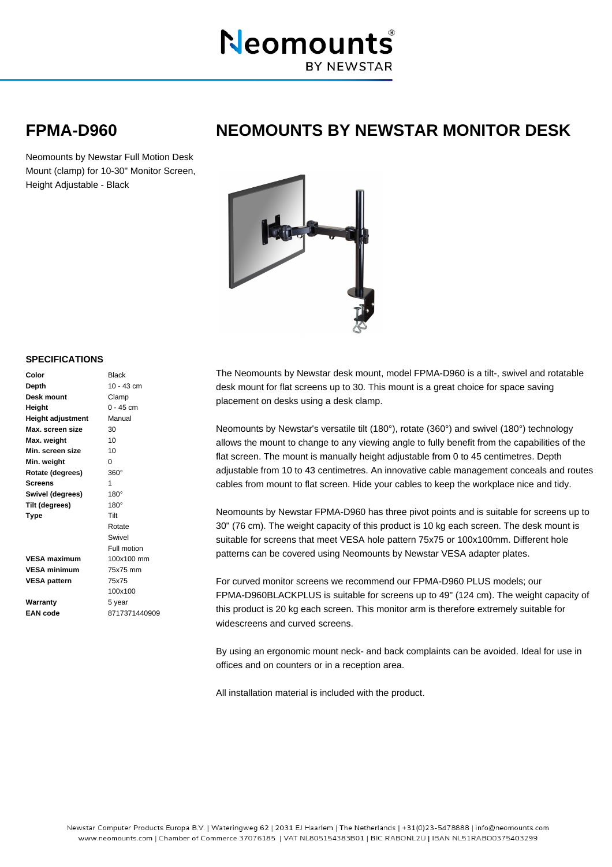

## **FPMA-D960 NEOMOUNTS BY NEWSTAR MONITOR DESK**

Neomounts by Newstar Full Motion Desk Mount (clamp) for 10-30" Monitor Screen, Height Adjustable - Black



## **SPECIFICATIONS**

| Color                    | <b>Black</b> |
|--------------------------|--------------|
| Depth                    | $10 - 43$ cm |
| Desk mount               | Clamp        |
| Height                   | $0 - 45$ cm  |
| <b>Height adjustment</b> | Manual       |
| Max. screen size         | 30           |
| Max. weight              | 10           |
| Min. screen size         | 10           |
| Min. weight              | 0            |
| Rotate (degrees)         | $360^\circ$  |
| Screens                  | 1            |
| Swivel (degrees)         | $180^\circ$  |
| Tilt (degrees)           | $180^\circ$  |
| <b>Type</b>              | Tilt         |
|                          | Rotate       |
|                          | Swivel       |
|                          | Full motion  |
| <b>VESA maximum</b>      | 100x100 mm   |
| <b>VESA minimum</b>      | 75x75 mm     |
| <b>VESA pattern</b>      | 75x75        |
|                          | 100x100      |
| Warranty                 | 5 year       |

**EAN code**

8717371440909

The Neomounts by Newstar desk mount, model FPMA-D960 is a tilt-, swivel and rotatable desk mount for flat screens up to 30. This mount is a great choice for space saving placement on desks using a desk clamp.

Neomounts by Newstar's versatile tilt (180°), rotate (360°) and swivel (180°) technology allows the mount to change to any viewing angle to fully benefit from the capabilities of the flat screen. The mount is manually height adjustable from 0 to 45 centimetres. Depth adjustable from 10 to 43 centimetres. An innovative cable management conceals and routes cables from mount to flat screen. Hide your cables to keep the workplace nice and tidy.

Neomounts by Newstar FPMA-D960 has three pivot points and is suitable for screens up to 30" (76 cm). The weight capacity of this product is 10 kg each screen. The desk mount is suitable for screens that meet VESA hole pattern 75x75 or 100x100mm. Different hole patterns can be covered using Neomounts by Newstar VESA adapter plates.

For curved monitor screens we recommend our FPMA-D960 PLUS models; our FPMA-D960BLACKPLUS is suitable for screens up to 49" (124 cm). The weight capacity of this product is 20 kg each screen. This monitor arm is therefore extremely suitable for widescreens and curved screens.

By using an ergonomic mount neck- and back complaints can be avoided. Ideal for use in offices and on counters or in a reception area.

All installation material is included with the product.